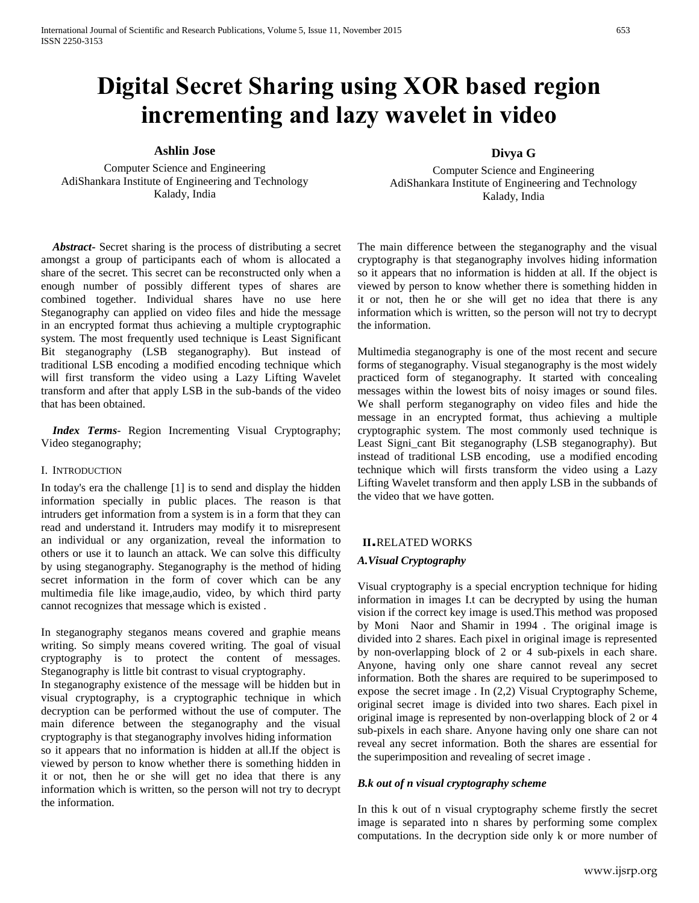# **Digital Secret Sharing using XOR based region incrementing and lazy wavelet in video**

**Ashlin Jose** 

Computer Science and Engineering AdiShankara Institute of Engineering and Technology Kalady, India

 *Abstract***-** Secret sharing is the process of distributing a secret amongst a group of participants each of whom is allocated a share of the secret. This secret can be reconstructed only when a enough number of possibly different types of shares are combined together. Individual shares have no use here Steganography can applied on video files and hide the message in an encrypted format thus achieving a multiple cryptographic system. The most frequently used technique is Least Significant Bit steganography (LSB steganography). But instead of traditional LSB encoding a modified encoding technique which will first transform the video using a Lazy Lifting Wavelet transform and after that apply LSB in the sub-bands of the video that has been obtained.

 *Index Terms*- Region Incrementing Visual Cryptography; Video steganography;

#### I. INTRODUCTION

In today's era the challenge [1] is to send and display the hidden information specially in public places. The reason is that intruders get information from a system is in a form that they can read and understand it. Intruders may modify it to misrepresent an individual or any organization, reveal the information to others or use it to launch an attack. We can solve this difficulty by using steganography. Steganography is the method of hiding secret information in the form of cover which can be any multimedia file like image,audio, video, by which third party cannot recognizes that message which is existed .

In steganography steganos means covered and graphie means writing. So simply means covered writing. The goal of visual cryptography is to protect the content of messages. Steganography is little bit contrast to visual cryptography. In steganography existence of the message will be hidden but in visual cryptography, is a cryptographic technique in which decryption can be performed without the use of computer. The main diference between the steganography and the visual cryptography is that steganography involves hiding information so it appears that no information is hidden at all.If the object is viewed by person to know whether there is something hidden in it or not, then he or she will get no idea that there is any information which is written, so the person will not try to decrypt the information.

#### **Divya G**

Computer Science and Engineering AdiShankara Institute of Engineering and Technology Kalady, India

The main difference between the steganography and the visual cryptography is that steganography involves hiding information so it appears that no information is hidden at all. If the object is viewed by person to know whether there is something hidden in it or not, then he or she will get no idea that there is any information which is written, so the person will not try to decrypt the information.

Multimedia steganography is one of the most recent and secure forms of steganography. Visual steganography is the most widely practiced form of steganography. It started with concealing messages within the lowest bits of noisy images or sound files. We shall perform steganography on video files and hide the message in an encrypted format, thus achieving a multiple cryptographic system. The most commonly used technique is Least Signi\_cant Bit steganography (LSB steganography). But instead of traditional LSB encoding, use a modified encoding technique which will firsts transform the video using a Lazy Lifting Wavelet transform and then apply LSB in the subbands of the video that we have gotten.

#### **II.**RELATED WORKS

#### *A.Visual Cryptography*

Visual cryptography is a special encryption technique for hiding information in images I.t can be decrypted by using the human vision if the correct key image is used.This method was proposed by Moni Naor and Shamir in 1994 . The original image is divided into 2 shares. Each pixel in original image is represented by non-overlapping block of 2 or 4 sub-pixels in each share. Anyone, having only one share cannot reveal any secret information. Both the shares are required to be superimposed to expose the secret image . In (2,2) Visual Cryptography Scheme, original secret image is divided into two shares. Each pixel in original image is represented by non-overlapping block of 2 or 4 sub-pixels in each share. Anyone having only one share can not reveal any secret information. Both the shares are essential for the superimposition and revealing of secret image .

#### *B.k out of n visual cryptography scheme*

In this k out of n visual cryptography scheme firstly the secret image is separated into n shares by performing some complex computations. In the decryption side only k or more number of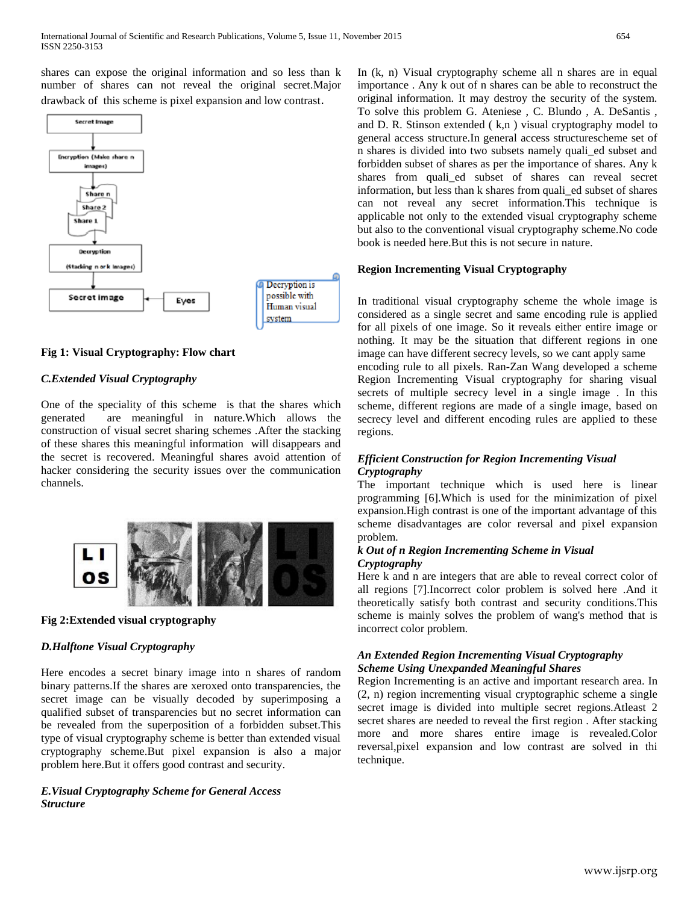shares can expose the original information and so less than k number of shares can not reveal the original secret.Major drawback of this scheme is pixel expansion and low contrast.



# **Fig 1: Visual Cryptography: Flow chart**

## *C.Extended Visual Cryptography*

One of the speciality of this scheme is that the shares which generated are meaningful in nature.Which allows the construction of visual secret sharing schemes .After the stacking of these shares this meaningful information will disappears and the secret is recovered. Meaningful shares avoid attention of hacker considering the security issues over the communication channels.



## **Fig 2:Extended visual cryptography**

## *D.Halftone Visual Cryptography*

Here encodes a secret binary image into n shares of random binary patterns.If the shares are xeroxed onto transparencies, the secret image can be visually decoded by superimposing a qualified subset of transparencies but no secret information can be revealed from the superposition of a forbidden subset.This type of visual cryptography scheme is better than extended visual cryptography scheme.But pixel expansion is also a major problem here.But it offers good contrast and security.

# *E.Visual Cryptography Scheme for General Access Structure*

In (k, n) Visual cryptography scheme all n shares are in equal importance . Any k out of n shares can be able to reconstruct the original information. It may destroy the security of the system. To solve this problem G. Ateniese , C. Blundo , A. DeSantis , and D. R. Stinson extended  $(k,n)$  visual cryptography model to general access structure.In general access structurescheme set of n shares is divided into two subsets namely quali\_ed subset and forbidden subset of shares as per the importance of shares. Any k shares from quali\_ed subset of shares can reveal secret information, but less than k shares from quali\_ed subset of shares can not reveal any secret information.This technique is applicable not only to the extended visual cryptography scheme but also to the conventional visual cryptography scheme.No code book is needed here.But this is not secure in nature.

## **Region Incrementing Visual Cryptography**

In traditional visual cryptography scheme the whole image is considered as a single secret and same encoding rule is applied for all pixels of one image. So it reveals either entire image or nothing. It may be the situation that different regions in one image can have different secrecy levels, so we cant apply same encoding rule to all pixels. Ran-Zan Wang developed a scheme Region Incrementing Visual cryptography for sharing visual secrets of multiple secrecy level in a single image . In this scheme, different regions are made of a single image, based on secrecy level and different encoding rules are applied to these regions.

## *Efficient Construction for Region Incrementing Visual Cryptography*

The important technique which is used here is linear programming [6].Which is used for the minimization of pixel expansion.High contrast is one of the important advantage of this scheme disadvantages are color reversal and pixel expansion problem.

#### *k Out of n Region Incrementing Scheme in Visual Cryptography*

Here k and n are integers that are able to reveal correct color of all regions [7].Incorrect color problem is solved here .And it theoretically satisfy both contrast and security conditions.This scheme is mainly solves the problem of wang's method that is incorrect color problem.

#### *An Extended Region Incrementing Visual Cryptography Scheme Using Unexpanded Meaningful Shares*

Region Incrementing is an active and important research area. In (2, n) region incrementing visual cryptographic scheme a single secret image is divided into multiple secret regions.Atleast 2 secret shares are needed to reveal the first region . After stacking more and more shares entire image is revealed.Color reversal,pixel expansion and low contrast are solved in thi technique.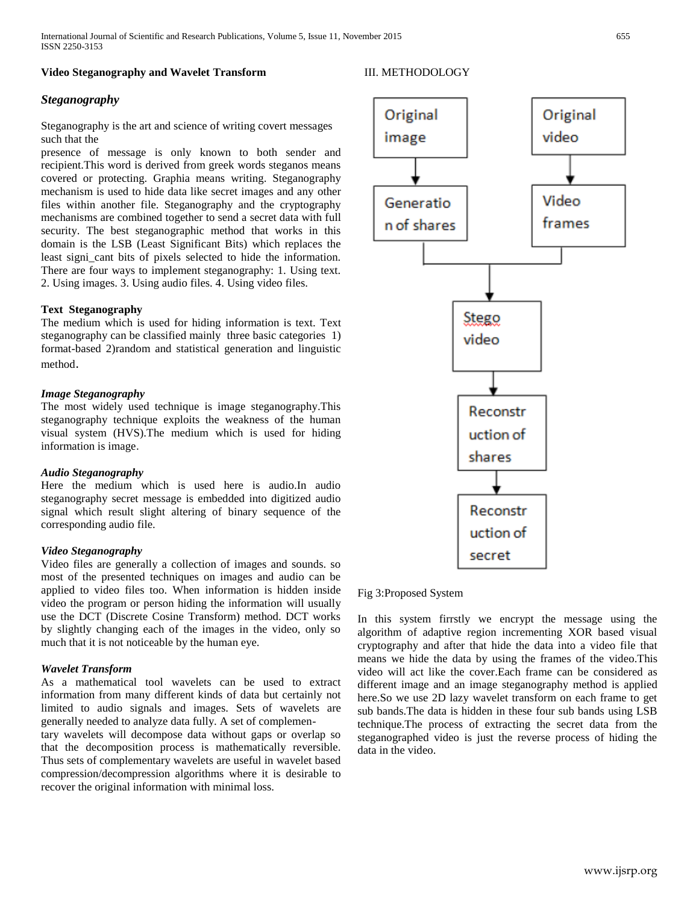#### **Video Steganography and Wavelet Transform**

#### III. METHODOLOGY

## *Steganography*

Steganography is the art and science of writing covert messages such that the

presence of message is only known to both sender and recipient.This word is derived from greek words steganos means covered or protecting. Graphia means writing. Steganography mechanism is used to hide data like secret images and any other files within another file. Steganography and the cryptography mechanisms are combined together to send a secret data with full security. The best steganographic method that works in this domain is the LSB (Least Significant Bits) which replaces the least signi\_cant bits of pixels selected to hide the information. There are four ways to implement steganography: 1. Using text. 2. Using images. 3. Using audio files. 4. Using video files.

#### **Text Steganography**

The medium which is used for hiding information is text. Text steganography can be classified mainly three basic categories 1) format-based 2)random and statistical generation and linguistic method.

#### *Image Steganography*

The most widely used technique is image steganography.This steganography technique exploits the weakness of the human visual system (HVS).The medium which is used for hiding information is image.

#### *Audio Steganography*

Here the medium which is used here is audio.In audio steganography secret message is embedded into digitized audio signal which result slight altering of binary sequence of the corresponding audio file.

#### *Video Steganography*

Video files are generally a collection of images and sounds. so most of the presented techniques on images and audio can be applied to video files too. When information is hidden inside video the program or person hiding the information will usually use the DCT (Discrete Cosine Transform) method. DCT works by slightly changing each of the images in the video, only so much that it is not noticeable by the human eye.

#### *Wavelet Transform*

As a mathematical tool wavelets can be used to extract information from many different kinds of data but certainly not limited to audio signals and images. Sets of wavelets are generally needed to analyze data fully. A set of complemen-

tary wavelets will decompose data without gaps or overlap so that the decomposition process is mathematically reversible. Thus sets of complementary wavelets are useful in wavelet based compression/decompression algorithms where it is desirable to recover the original information with minimal loss.



#### Fig 3:Proposed System

In this system firrstly we encrypt the message using the algorithm of adaptive region incrementing XOR based visual cryptography and after that hide the data into a video file that means we hide the data by using the frames of the video.This video will act like the cover.Each frame can be considered as different image and an image steganography method is applied here.So we use 2D lazy wavelet transform on each frame to get sub bands.The data is hidden in these four sub bands using LSB technique.The process of extracting the secret data from the steganographed video is just the reverse process of hiding the data in the video.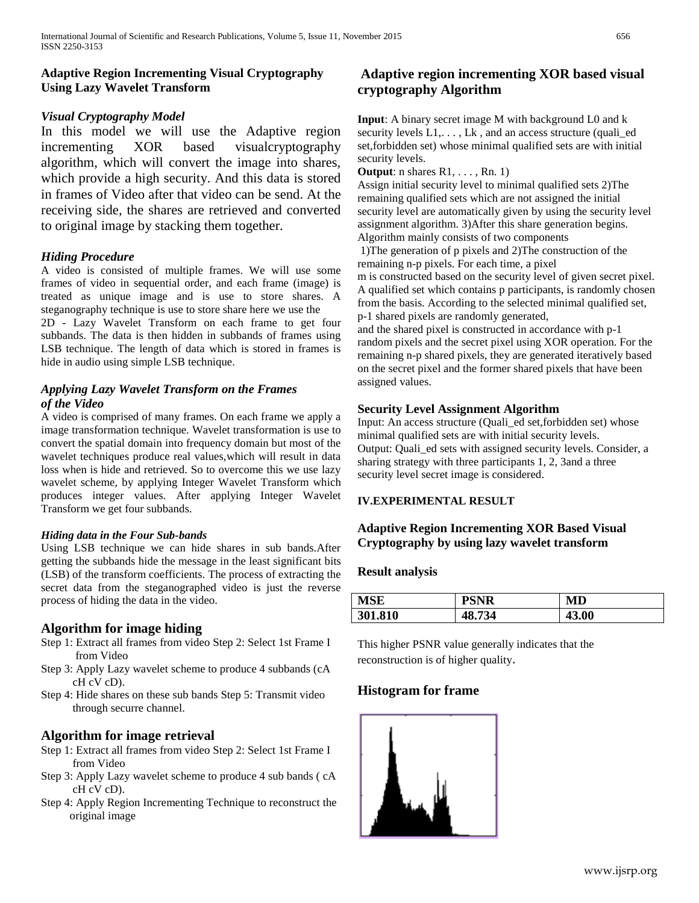# **Adaptive Region Incrementing Visual Cryptography Using Lazy Wavelet Transform**

# *Visual Cryptography Model*

In this model we will use the Adaptive region incrementing XOR based visualcryptography algorithm, which will convert the image into shares, which provide a high security. And this data is stored in frames of Video after that video can be send. At the receiving side, the shares are retrieved and converted to original image by stacking them together.

# *Hiding Procedure*

A video is consisted of multiple frames. We will use some frames of video in sequential order, and each frame (image) is treated as unique image and is use to store shares. A steganography technique is use to store share here we use the

2D - Lazy Wavelet Transform on each frame to get four subbands. The data is then hidden in subbands of frames using LSB technique. The length of data which is stored in frames is hide in audio using simple LSB technique.

# *Applying Lazy Wavelet Transform on the Frames of the Video*

A video is comprised of many frames. On each frame we apply a image transformation technique. Wavelet transformation is use to convert the spatial domain into frequency domain but most of the wavelet techniques produce real values,which will result in data loss when is hide and retrieved. So to overcome this we use lazy wavelet scheme, by applying Integer Wavelet Transform which produces integer values. After applying Integer Wavelet Transform we get four subbands.

## *Hiding data in the Four Sub-bands*

Using LSB technique we can hide shares in sub bands.After getting the subbands hide the message in the least significant bits (LSB) of the transform coefficients. The process of extracting the secret data from the steganographed video is just the reverse process of hiding the data in the video.

# **Algorithm for image hiding**

- Step 1: Extract all frames from video Step 2: Select 1st Frame I from Video
- Step 3: Apply Lazy wavelet scheme to produce 4 subbands (cA cH cV cD).
- Step 4: Hide shares on these sub bands Step 5: Transmit video through securre channel.

# **Algorithm for image retrieval**

- Step 1: Extract all frames from video Step 2: Select 1st Frame I from Video
- Step 3: Apply Lazy wavelet scheme to produce 4 sub bands ( cA cH cV cD).
- Step 4: Apply Region Incrementing Technique to reconstruct the original image

# **Adaptive region incrementing XOR based visual cryptography Algorithm**

**Input**: A binary secret image M with background L0 and k security levels  $L1, \ldots, Lk$ , and an access structure (quali\_ed set,forbidden set) whose minimal qualified sets are with initial security levels.

**Output:** n shares R1, . . . , Rn. 1)

Assign initial security level to minimal qualified sets 2)The remaining qualified sets which are not assigned the initial security level are automatically given by using the security level assignment algorithm. 3)After this share generation begins. Algorithm mainly consists of two components

1)The generation of p pixels and 2)The construction of the remaining n-p pixels. For each time, a pixel m is constructed based on the security level of given secret pixel. A qualified set which contains p participants, is randomly chosen from the basis. According to the selected minimal qualified set, p-1 shared pixels are randomly generated,

and the shared pixel is constructed in accordance with p-1 random pixels and the secret pixel using XOR operation. For the remaining n-p shared pixels, they are generated iteratively based on the secret pixel and the former shared pixels that have been assigned values.

## **Security Level Assignment Algorithm**

Input: An access structure (Quali\_ed set,forbidden set) whose minimal qualified sets are with initial security levels. Output: Quali\_ed sets with assigned security levels. Consider, a sharing strategy with three participants 1, 2, 3and a three security level secret image is considered.

## **IV.EXPERIMENTAL RESULT**

# **Adaptive Region Incrementing XOR Based Visual Cryptography by using lazy wavelet transform**

## **Result analysis**

| <b>MSE</b> | <b>PSNR</b> | MD    |
|------------|-------------|-------|
| 301.810    | 48.734      | 43.00 |

This higher PSNR value generally indicates that the reconstruction is of higher quality.

# **Histogram for frame**